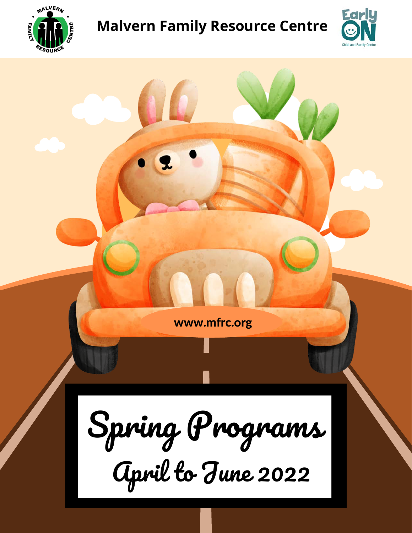

## **Malvern Family Resource Centre**



www.mfrc.org

April to June 2022 Spring Programs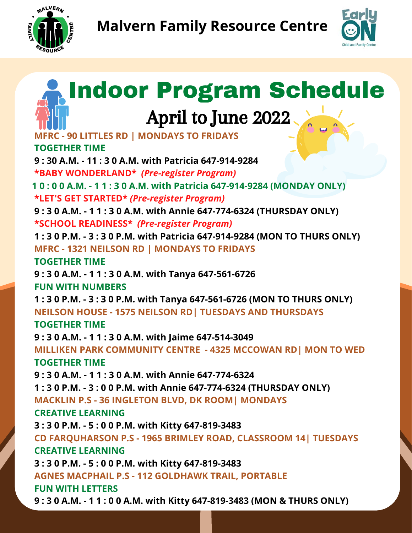



## Indoor Program Schedule April to June 2022

 **MFRC - 90 LITTLES RD | MONDAYS TO FRIDAYS TOGETHER TIME 9 : 30 A.M. - 11 : 3 0 A.M. with Patricia 647-914-9284 \*BABY WONDERLAND\*** *(Pre-register Program)*  **1 0 : 0 0 A.M. - 1 1 : 3 0 A.M. with Patricia 647-914-9284 (MONDAY ONLY) \*LET'S GET STARTED\*** *(Pre-register Program)*  **9 : 3 0 A.M. - 1 1 : 3 0 A.M. with Annie 647-774-6324 (THURSDAY ONLY) \*SCHOOL READINESS\*** *(Pre-register Program)*  **1 : 3 0 P.M. - 3 : 3 0 P.M. with Patricia 647-914-9284 (MON TO THURS ONLY) MFRC - 1321 NEILSON RD | MONDAYS TO FRIDAYS TOGETHER TIME 9 : 3 0 A.M. - 1 1 : 3 0 A.M. with Tanya 647-561-6726 FUN WITH NUMBERS 1 : 3 0 P.M. - 3 : 3 0 P.M. with Tanya 647-561-6726 (MON TO THURS ONLY) NEILSON HOUSE - 1575 NEILSON RD| TUESDAYS AND THURSDAYS TOGETHER TIME 9 : 3 0 A.M. - 1 1 : 3 0 A.M. with Jaime 647-514-3049 MILLIKEN PARK COMMUNITY CENTRE - 4325 MCCOWAN RD| MON TO WED TOGETHER TIME 9 : 3 0 A.M. - 1 1 : 3 0 A.M. with Annie 647-774-6324 1 : 3 0 P.M. - 3 : 0 0 P.M. with Annie 647-774-6324 (THURSDAY ONLY) MACKLIN P.S - 36 INGLETON BLVD, DK ROOM| MONDAYS CREATIVE LEARNING 3 : 3 0 P.M. - 5 : 0 0 P.M. with Kitty 647-819-3483 CD FARQUHARSON P.S - 1965 BRIMLEY ROAD, CLASSROOM 14| TUESDAYS CREATIVE LEARNING 3 : 3 0 P.M. - 5 : 0 0 P.M. with Kitty 647-819-3483 AGNES MACPHAIL P.S - 112 GOLDHAWK TRAIL, PORTABLE FUN WITH LETTERS 9 : 3 0 A.M. - 1 1 : 0 0 A.M. with Kitty 647-819-3483 (MON & THURS ONLY)**